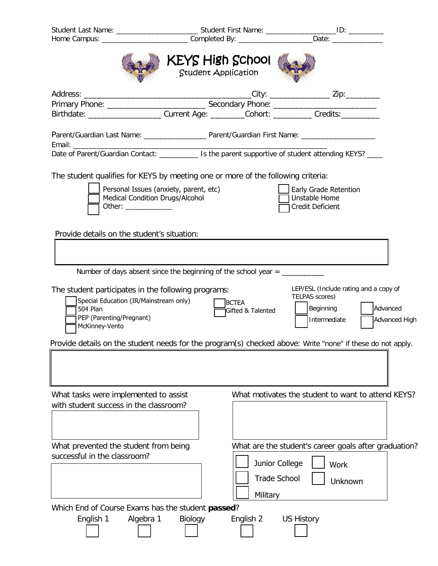|                                                                                                                                                         | Home Campus: _______________________________Completed By: ______________________Date: ______________   |                                                                                                                   |
|---------------------------------------------------------------------------------------------------------------------------------------------------------|--------------------------------------------------------------------------------------------------------|-------------------------------------------------------------------------------------------------------------------|
|                                                                                                                                                         | <b>KEYS High School</b><br>Student Application                                                         |                                                                                                                   |
|                                                                                                                                                         | Birthdate: ______________________Current Age: _________Cohort: __________Credits:___________           |                                                                                                                   |
|                                                                                                                                                         |                                                                                                        |                                                                                                                   |
|                                                                                                                                                         | Date of Parent/Guardian Contact: ____________ Is the parent supportive of student attending KEYS? ____ |                                                                                                                   |
| Personal Issues (anxiety, parent, etc)<br><b>Medical Condition Drugs/Alcohol</b><br>Other: $\frac{1}{\sqrt{1-\frac{1}{2}}\cdot\frac{1}{2}}$             | The student qualifies for KEYS by meeting one or more of the following criteria:                       | Early Grade Retention<br>Unstable Home<br>Credit Deficient                                                        |
| Provide details on the student's situation:                                                                                                             | Number of days absent since the beginning of the school year $=$ ________________                      |                                                                                                                   |
| The student participates in the following programs:<br>Special Education (IR/Mainstream only)<br>504 Plan<br>PEP (Parenting/Pregnant)<br>McKinney-Vento | BCTEA<br>Gifted & Talented                                                                             | LEP/ESL (Include rating and a copy of<br>TELPAS scores)<br>Beginning<br>Advanced<br>Intermediate<br>Advanced High |
|                                                                                                                                                         |                                                                                                        | Provide details on the student needs for the program(s) checked above: Write "none" if these do not apply.        |
| What tasks were implemented to assist<br>with student success in the classroom?                                                                         |                                                                                                        | What motivates the student to want to attend KEYS?                                                                |
| What prevented the student from being<br>successful in the classroom?                                                                                   | Military                                                                                               | What are the student's career goals after graduation?<br>Junior College<br>Work<br><b>Trade School</b><br>Unknown |
| Which End of Course Exams has the student passed?<br>Algebra 1<br>English 1                                                                             | Biology<br>English 2                                                                                   | <b>US History</b>                                                                                                 |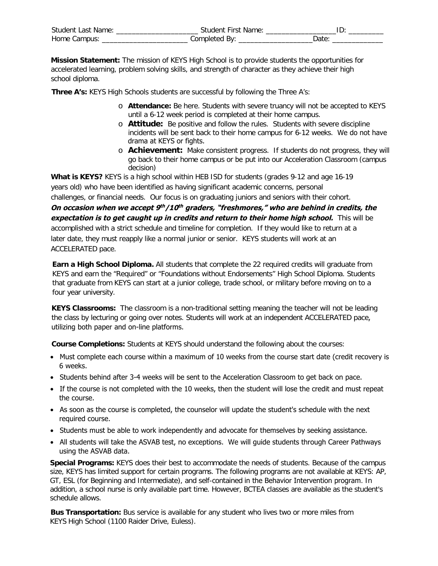| <b>Student Last Name:</b> | Student First Name |  |
|---------------------------|--------------------|--|
| Home Campus:              | 'omnleted          |  |

**Mission Statement:** The mission of KEYS High School is to provide students the opportunities for accelerated learning, problem solving skills, and strength of character as they achieve their high school diploma.

**Three A's:** KEYS High Schools students are successful by following the Three A's:

- o **Attendance:** Be here. Students with severe truancy will not be accepted to KEYS until a 6-12 week period is completed at their home campus.
- o **Attitude:** Be positive and follow the rules. Students with severe discipline incidents will be sent back to their home campus for 6-12 weeks. We do not have drama at KEYS or fights.
- o **Achievement:** Make consistent progress. If students do not progress, they will go back to their home campus or be put into our Acceleration Classroom (campus decision)

**What is KEYS?** KEYS is a high school within HEB ISD for students (grades 9-12 and age 16-19 years old) who have been identified as having significant academic concerns, personal

challenges, or financial needs. Our focus is on graduating juniors and seniors with their cohort.

**On occasion when we accept 9 th/10 th graders, "freshmores," who are behind in credits, the expectation is to get caught up in credits and return to their home high school.** This will be

accomplished with a strict schedule and timeline for completion. If they would like to return at a later date, they must reapply like a normal junior or senior. KEYS students will work at an ACCELERATED pace.

**Earn a High School Diploma.** All students that complete the 22 required credits will graduate from KEYS and earn the "Required" or "Foundations without Endorsements" High School Diploma. Students that graduate from KEYS can start at a junior college, trade school, or military before moving on to a four year university.

**KEYS Classrooms:** The classroom is a non-traditional setting meaning the teacher will not be leading the class by lecturing or going over notes. Students will work at an independent ACCELERATED pace, utilizing both paper and on-line platforms.

**Course Completions:** Students at KEYS should understand the following about the courses:

- Must complete each course within a maximum of 10 weeks from the course start date (credit recovery is 6 weeks.
- Students behind after 3-4 weeks will be sent to the Acceleration Classroom to get back on pace.
- If the course is not completed with the 10 weeks, then the student will lose the credit and must repeat the course.
- As soon as the course is completed, the counselor will update the student's schedule with the next required course.
- Students must be able to work independently and advocate for themselves by seeking assistance.
- All students will take the ASVAB test, no exceptions. We will guide students through Career Pathways using the ASVAB data.

**Special Programs:** KEYS does their best to accommodate the needs of students. Because of the campus size, KEYS has limited support for certain programs. The following programs are not available at KEYS: AP, GT, ESL (for Beginning and Intermediate), and self-contained in the Behavior Intervention program. In addition, a school nurse is only available part time. However, BCTEA classes are available as the student's schedule allows.

**Bus Transportation:** Bus service is available for any student who lives two or more miles from KEYS High School (1100 Raider Drive, Euless).